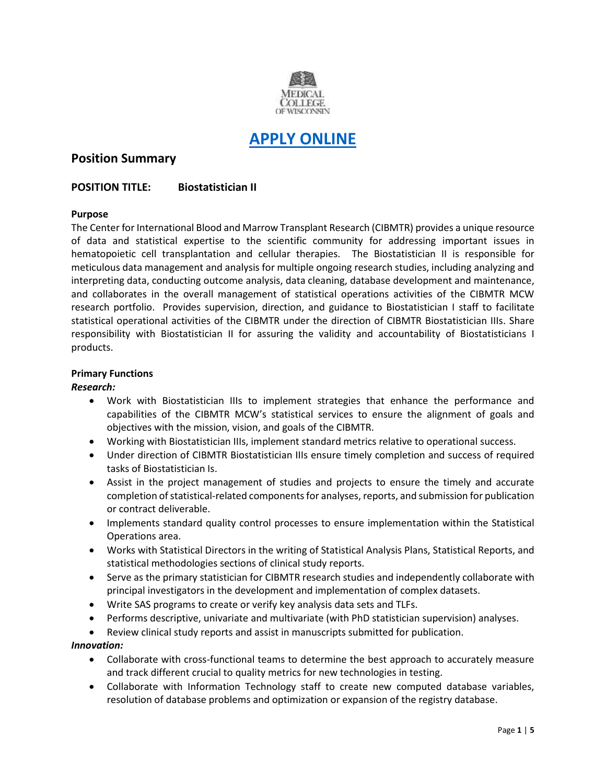

# **[APPLY ONLINE](https://careers.peopleclick.com/careerscp/client_medcollegewi/external_staff/gateway.do?functionName=viewFromLink&jobPostId=23973&localeCode=en-us)**

# **Position Summary**

# **POSITION TITLE: Biostatistician II**

# **Purpose**

The Center for International Blood and Marrow Transplant Research (CIBMTR) provides a unique resource of data and statistical expertise to the scientific community for addressing important issues in hematopoietic cell transplantation and cellular therapies. The Biostatistician II is responsible for meticulous data management and analysis for multiple ongoing research studies, including analyzing and interpreting data, conducting outcome analysis, data cleaning, database development and maintenance, and collaborates in the overall management of statistical operations activities of the CIBMTR MCW research portfolio. Provides supervision, direction, and guidance to Biostatistician I staff to facilitate statistical operational activities of the CIBMTR under the direction of CIBMTR Biostatistician IIIs. Share responsibility with Biostatistician II for assuring the validity and accountability of Biostatisticians I products.

# **Primary Functions**

#### *Research:*

- Work with Biostatistician IIIs to implement strategies that enhance the performance and capabilities of the CIBMTR MCW's statistical services to ensure the alignment of goals and objectives with the mission, vision, and goals of the CIBMTR.
- Working with Biostatistician IIIs, implement standard metrics relative to operational success.
- Under direction of CIBMTR Biostatistician IIIs ensure timely completion and success of required tasks of Biostatistician Is.
- Assist in the project management of studies and projects to ensure the timely and accurate completion of statistical-related components for analyses, reports, and submission for publication or contract deliverable.
- Implements standard quality control processes to ensure implementation within the Statistical Operations area.
- Works with Statistical Directors in the writing of Statistical Analysis Plans, Statistical Reports, and statistical methodologies sections of clinical study reports.
- Serve as the primary statistician for CIBMTR research studies and independently collaborate with principal investigators in the development and implementation of complex datasets.
- Write SAS programs to create or verify key analysis data sets and TLFs.
- Performs descriptive, univariate and multivariate (with PhD statistician supervision) analyses.
- Review clinical study reports and assist in manuscripts submitted for publication.

# *Innovation:*

- Collaborate with cross-functional teams to determine the best approach to accurately measure and track different crucial to quality metrics for new technologies in testing.
- Collaborate with Information Technology staff to create new computed database variables, resolution of database problems and optimization or expansion of the registry database.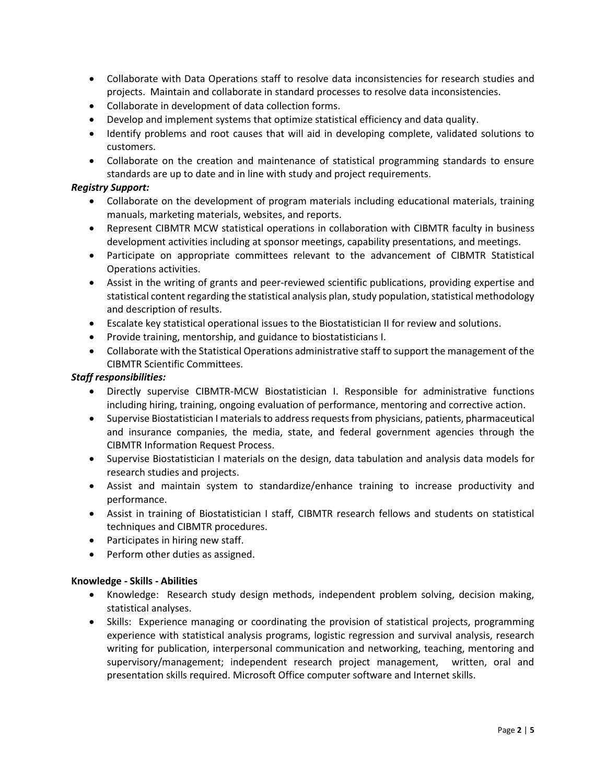- Collaborate with Data Operations staff to resolve data inconsistencies for research studies and projects. Maintain and collaborate in standard processes to resolve data inconsistencies.
- Collaborate in development of data collection forms.
- Develop and implement systems that optimize statistical efficiency and data quality.
- Identify problems and root causes that will aid in developing complete, validated solutions to customers.
- Collaborate on the creation and maintenance of statistical programming standards to ensure standards are up to date and in line with study and project requirements.

# *Registry Support:*

- Collaborate on the development of program materials including educational materials, training manuals, marketing materials, websites, and reports.
- Represent CIBMTR MCW statistical operations in collaboration with CIBMTR faculty in business development activities including at sponsor meetings, capability presentations, and meetings.
- Participate on appropriate committees relevant to the advancement of CIBMTR Statistical Operations activities.
- Assist in the writing of grants and peer-reviewed scientific publications, providing expertise and statistical content regarding the statistical analysis plan, study population, statistical methodology and description of results.
- Escalate key statistical operational issues to the Biostatistician II for review and solutions.
- Provide training, mentorship, and guidance to biostatisticians I.
- Collaborate with the Statistical Operations administrative staff to support the management of the CIBMTR Scientific Committees.

# *Staff responsibilities:*

- Directly supervise CIBMTR-MCW Biostatistician I. Responsible for administrative functions including hiring, training, ongoing evaluation of performance, mentoring and corrective action.
- Supervise Biostatistician I materials to address requests from physicians, patients, pharmaceutical and insurance companies, the media, state, and federal government agencies through the CIBMTR Information Request Process.
- Supervise Biostatistician I materials on the design, data tabulation and analysis data models for research studies and projects.
- Assist and maintain system to standardize/enhance training to increase productivity and performance.
- Assist in training of Biostatistician I staff, CIBMTR research fellows and students on statistical techniques and CIBMTR procedures.
- Participates in hiring new staff.
- Perform other duties as assigned.

# **Knowledge - Skills - Abilities**

- Knowledge: Research study design methods, independent problem solving, decision making, statistical analyses.
- Skills: Experience managing or coordinating the provision of statistical projects, programming experience with statistical analysis programs, logistic regression and survival analysis, research writing for publication, interpersonal communication and networking, teaching, mentoring and supervisory/management; independent research project management, written, oral and presentation skills required. Microsoft Office computer software and Internet skills.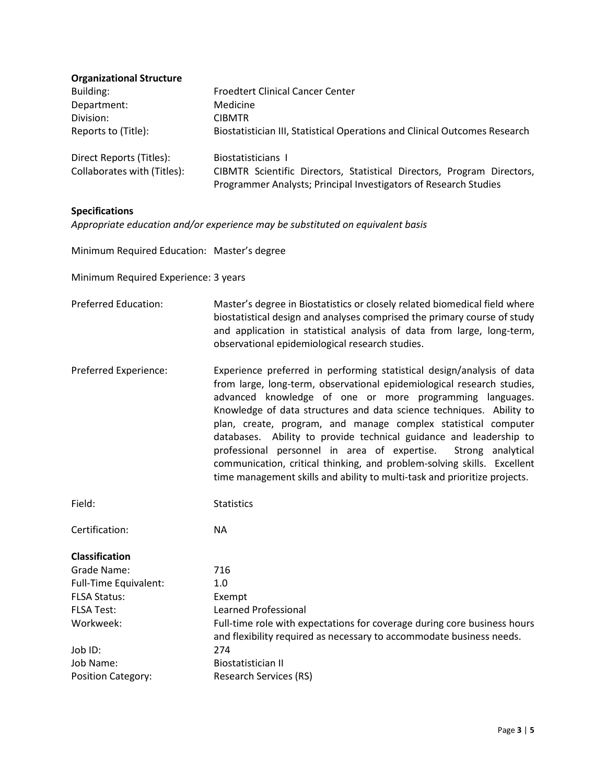| <b>Organizational Structure</b> |                                                                            |
|---------------------------------|----------------------------------------------------------------------------|
| Building:                       | <b>Froedtert Clinical Cancer Center</b>                                    |
| Department:                     | Medicine                                                                   |
| Division:                       | <b>CIBMTR</b>                                                              |
| Reports to (Title):             | Biostatistician III, Statistical Operations and Clinical Outcomes Research |
| Direct Reports (Titles):        | Biostatisticians I                                                         |
| Collaborates with (Titles):     | CIBMTR Scientific Directors, Statistical Directors, Program Directors,     |
|                                 | Programmer Analysts; Principal Investigators of Research Studies           |

# **Specifications**

*Appropriate education and/or experience may be substituted on equivalent basis*

Minimum Required Education: Master's degree

Minimum Required Experience: 3 years

Preferred Education: Master's degree in Biostatistics or closely related biomedical field where biostatistical design and analyses comprised the primary course of study and application in statistical analysis of data from large, long-term, observational epidemiological research studies.

Preferred Experience: Experience preferred in performing statistical design/analysis of data from large, long-term, observational epidemiological research studies, advanced knowledge of one or more programming languages. Knowledge of data structures and data science techniques. Ability to plan, create, program, and manage complex statistical computer databases. Ability to provide technical guidance and leadership to professional personnel in area of expertise. Strong analytical communication, critical thinking, and problem-solving skills. Excellent time management skills and ability to multi-task and prioritize projects.

Field: Statistics

Certification: NA

#### **Classification**

| Grade Name:                  | 716                                                                                                                                              |
|------------------------------|--------------------------------------------------------------------------------------------------------------------------------------------------|
| <b>Full-Time Equivalent:</b> | 1.0                                                                                                                                              |
| <b>FLSA Status:</b>          | Exempt                                                                                                                                           |
| <b>FLSA Test:</b>            | Learned Professional                                                                                                                             |
| Workweek:                    | Full-time role with expectations for coverage during core business hours<br>and flexibility required as necessary to accommodate business needs. |
| Job ID:                      | 274                                                                                                                                              |
| Job Name:                    | Biostatistician II                                                                                                                               |
| <b>Position Category:</b>    | Research Services (RS)                                                                                                                           |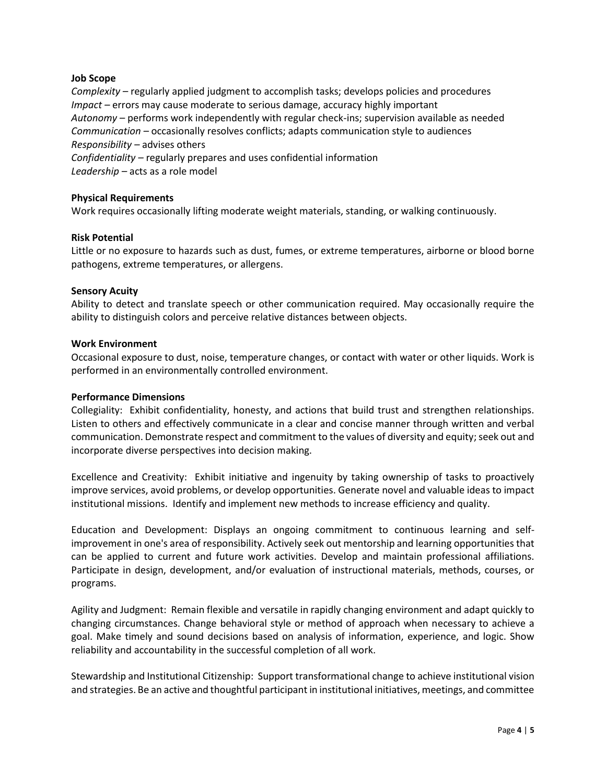# **Job Scope**

*Complexity –* regularly applied judgment to accomplish tasks; develops policies and procedures *Impact –* errors may cause moderate to serious damage, accuracy highly important *Autonomy –* performs work independently with regular check-ins; supervision available as needed *Communication –* occasionally resolves conflicts; adapts communication style to audiences *Responsibility –* advises others *Confidentiality –* regularly prepares and uses confidential information

*Leadership –* acts as a role model

#### **Physical Requirements**

Work requires occasionally lifting moderate weight materials, standing, or walking continuously.

#### **Risk Potential**

Little or no exposure to hazards such as dust, fumes, or extreme temperatures, airborne or blood borne pathogens, extreme temperatures, or allergens.

#### **Sensory Acuity**

Ability to detect and translate speech or other communication required. May occasionally require the ability to distinguish colors and perceive relative distances between objects.

#### **Work Environment**

Occasional exposure to dust, noise, temperature changes, or contact with water or other liquids. Work is performed in an environmentally controlled environment.

#### **Performance Dimensions**

Collegiality: Exhibit confidentiality, honesty, and actions that build trust and strengthen relationships. Listen to others and effectively communicate in a clear and concise manner through written and verbal communication. Demonstrate respect and commitment to the values of diversity and equity; seek out and incorporate diverse perspectives into decision making.

Excellence and Creativity: Exhibit initiative and ingenuity by taking ownership of tasks to proactively improve services, avoid problems, or develop opportunities. Generate novel and valuable ideas to impact institutional missions. Identify and implement new methods to increase efficiency and quality.

Education and Development: Displays an ongoing commitment to continuous learning and selfimprovement in one's area of responsibility. Actively seek out mentorship and learning opportunities that can be applied to current and future work activities. Develop and maintain professional affiliations. Participate in design, development, and/or evaluation of instructional materials, methods, courses, or programs.

Agility and Judgment: Remain flexible and versatile in rapidly changing environment and adapt quickly to changing circumstances. Change behavioral style or method of approach when necessary to achieve a goal. Make timely and sound decisions based on analysis of information, experience, and logic. Show reliability and accountability in the successful completion of all work.

Stewardship and Institutional Citizenship: Support transformational change to achieve institutional vision and strategies. Be an active and thoughtful participant in institutional initiatives, meetings, and committee